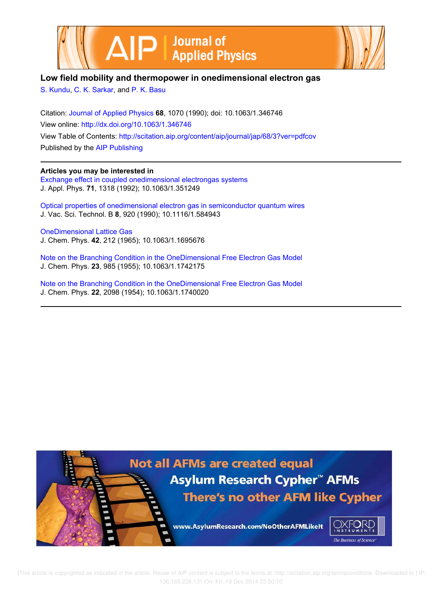



## **Low field mobility and thermopower in onedimensional electron gas**

S. Kundu, C. K. Sarkar, and P. K. Basu

Citation: Journal of Applied Physics **68**, 1070 (1990); doi: 10.1063/1.346746 View online: http://dx.doi.org/10.1063/1.346746 View Table of Contents: http://scitation.aip.org/content/aip/journal/jap/68/3?ver=pdfcov Published by the AIP Publishing

**Articles you may be interested in**

Exchange effect in coupled onedimensional electrongas systems J. Appl. Phys. **71**, 1318 (1992); 10.1063/1.351249

Optical properties of onedimensional electron gas in semiconductor quantum wires J. Vac. Sci. Technol. B **8**, 920 (1990); 10.1116/1.584943

OneDimensional Lattice Gas J. Chem. Phys. **42**, 212 (1965); 10.1063/1.1695676

Note on the Branching Condition in the OneDimensional Free Electron Gas Model J. Chem. Phys. **23**, 985 (1955); 10.1063/1.1742175

Note on the Branching Condition in the OneDimensional Free Electron Gas Model J. Chem. Phys. **22**, 2098 (1954); 10.1063/1.1740020



[This article is copyrighted as indicated in the article. Reuse of AIP content is subject to the terms at: http://scitation.aip.org/termsconditions. Downloaded to ] IP: 136.165.238.131 On: Fri, 19 Dec 2014 23:50:10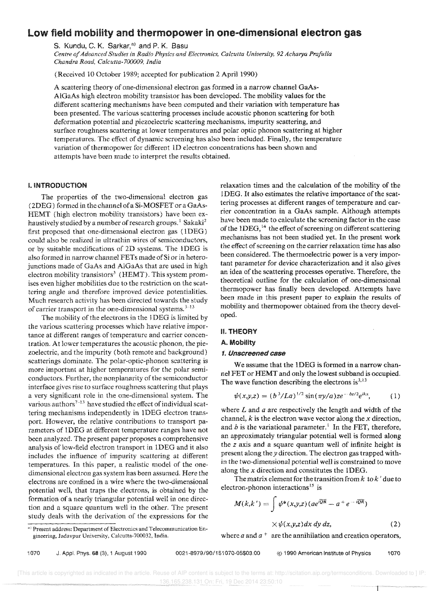# Low field mobility and thermopower in one-dimensional electron gas

S. Kundu, C. K. Sarkar,<sup>a)</sup> and P. K. Basu

*Centre of Advanced Studies in Radio Physics and Electronics, Calcutta University,* 92 *Acharya Prafulla Chandra Road, Calcutta-700009, India* 

(Received 10 October 1989; accepted for publication 2 April 1990)

A scattering theory of one-dimensional electron gas formed in a narrow channel GaAs-AIGaAs high electron mobility transistor has been developed. The mobility values for the different scatiering mechanisms have been computed and their variation with temperature has been presented. The various scattering processes include acoustic phonon scattering for both deformation potential and piezoelectric scattering mechanisms, impurity scattering, and surface roughness scattering at lower temperatures and polar optic phonon scattering at higher temperatures. The effect of dynamic screening has also been included. Finally, the temperature variation of thermopower for different ID electron concentrations has been shown and attempts have been made to interpret the results obtained.

#### I. INTRODUCTION

The properties of the two-dimensional electron gas (2DEG) formed in the channel of a Si-MOSFET or a GaAs-HEMT (high electron mobility transistors) have been exhaustively studied by a number of research groups.<sup>1</sup> Sakaki<sup>2</sup> first proposed that one-dimensional electron gas (1DEG) could also be realized in ultrathin wires of semiconductors, or by suitable modifications of 2D systems. The 1 DEG is also formed in narrow channel FETs made of Si or in heterajunctions made of GaAs and AIGaAs that are used in high electron mobility transistors<sup>3</sup> (HEMT). This system promises even higher mobilities due to the restriction on the scattering angle and therefore improved device potentialities. Much research activity has been directed towards the study of carrier transport in the one-dimensional systems.  $3-13$ 

The mobility of the electrons in the 1DEG is limited by the various scattering processes which have relative importance at different ranges of temperature and carrier concentration. At lower temperatures the acoustic phonon, the piezoelectric, and the impurity (both remote and background) scatterings dominate. The polar-optic-phonon scattering is more important at higher temperatures for the polar semiconductors. Further, the nonplanarity of the semiconductor interface gives rise to surface roughness scattering that plays a very significant role in the one-dimensional system. The various authors $7-13$  have studied the effect of individual scattering mechanisms independently in lDEG electron transport. However, the relative contributions to transport parameters of IDEG at different temperature ranges have not been analyzed. The present paper proposes a comprehensive analysis of low-field electron transport in 1DEG and it also includes the influence of impurity scattering at different temperatures. In this paper, a realistic model of the onedimensional electron gas system has been assumed. Here the electrons are confined in a wire where the two-dimensional potential well, that traps the electrons, is obtained by the formation of a nearly triangular potential weil in one direction and a square quantum well in the other. The present study deals with the derivation of the expressions for the

a) Present address: Department of Electronics and Telecommunication En-

relaxation times and the calculation of the mobility of the IDEG. It also estimates the relative importance of the scattering processes at different ranges of temperature and carrier concentration in a GaAs sample. Although attempts have been made to calculate the screening factor in the case of the  $1DEG<sub>14</sub>$  the effect of screening on different scattering mechanisms has not been studied yet. In the present work the effect of screening on the carrier relaxation time has also been considered. The thermoelectric power is a very important parameter for device characterization and it also gives an idea of the scattering processes operative. Therefore, the theoretical outline for the calculation of one-dimensional thermopower has finally been developed. Attempts have been made in this present paper to explain the results of mobility and thermopower obtained from the theory developed.

## II. THEORY

## A. Mobility

## 1. Unscreened case

We assume that the IDEG is formed in a narrow channel FET or HEMT and only the lowest subband is occupied. The wave function describing the electrons is $^{3,13}$ 

$$
\psi(x,y,z) = (b^3/La)^{1/2} \sin(\pi y/a) z e^{-b z/2} e^{ikx}, \qquad (1)
$$

where  $L$  and  $a$  are respectively the length and width of the channel, *k* is the electron wave vector along the *x* direction, and  $b$  is the variational parameter.<sup>1</sup> In the FET, therefore, an approximately triangular potential well is formed along the *z* axis and a square quantum well of infinite height is present along the *y* direction. The electron gas trapped within the two-dimensional potential well is constrained to move along the *x* direction and constitutes the IDEG.

The matrix element for the transition from  $k$  to  $k'$  due to electron-phonon interactions<sup>15</sup> is

$$
M(k,k') = \int \psi^*(x,y,z) (ae^{i\overline{Q}\overline{R}} - a^+e^{-i\overline{Q}\overline{R}})
$$

$$
\times \psi(x,y,z) dx dy dz,
$$
 (2)

where  $a$  and  $a^+$  are the annihilation and creation operators,

gineering, Jadavpur University. Calcutta-700032, India.

i070 J. Appl. Phys. 68 (3), 1 August 1990 0021-8979/90/151 C0 1990 American Institute of Physics 1070

[This article is copyrighted as indicated in the article. Reuse of AIP content is subject to the terms at: http://scitation.aip.org/termsconditions. Downloaded to ] IP 136.165.238.131 On: Fri, 19 Dec 2014 23:50:10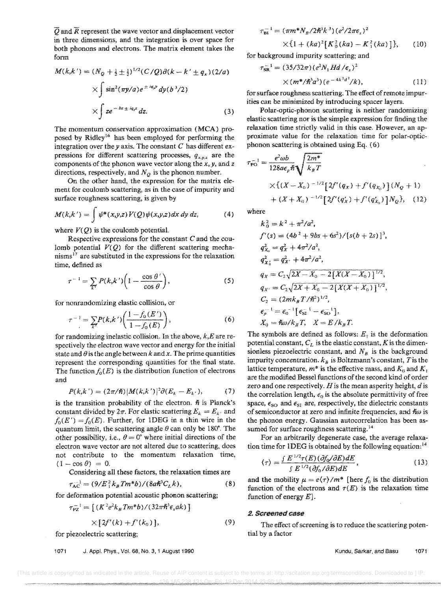$\overline{O}$  and  $\overline{R}$  represent the wave vector and displacement vector in three dimensions, and the integration is over space for both phonons and electrons. The matrix element takes the form

$$
M(k,k') = (N_Q + \frac{1}{2} \pm \frac{1}{2})^{1/2} (C/Q) d(k - k' \pm q_x) (2/a)
$$
  
 
$$
\times \int \sin^2(\pi y/a) e^{\pm iq_y y} dy (b^3/2)
$$
  
 
$$
\times \int ze^{-bz \pm iq_z z} dz.
$$
 (3)

The momentum conservation approximation (MCA) proposed by Ridley<sup>16</sup> has been employed for performing the integration over the  $\nu$  axis. The constant  $C$  has different expressions for different scattering processes,  $q_{x,y,z}$  are the components of the phonon wave vector along the x, *y,* and z directions, respectively, and  $N<sub>O</sub>$  is the phonon number.

On the other hand, the expression for the matrix element for coulomb scattering, as in the case of impurity and surface roughness scattering, is given by

$$
M(k, k') = \int \psi^*(x, y, z) V(Q) \psi(x, y, z) dx dy dz,
$$
 (4)

where  $V(Q)$  is the coulomb potential.

Respective expressions for the constant  $C$  and the coulomb potential  $V(Q)$  for the different scattering mecha $n$ isms<sup>17</sup> are substituted in the expressions for the relaxation time, defined as

$$
\tau^{-1} = \sum_{k'} P(k, k') \bigg( 1 - \frac{\cos \theta'}{\cos \theta} \bigg),\tag{5}
$$

for nonrandomizing elastic collision, or

$$
\tau^{-1} = \sum_{k'} P(k, k') \left( \frac{1 - f_0(E')}{1 - f_0(E)} \right),\tag{6}
$$

for randomizing inelastic collision. In the above,  $k$ ,  $E$  are respectively the electron wave vector and energy for the initial state and  $\theta$  is the angle between  $k$  and  $x$ . The prime quantities represent the corresponding quantities for the final state. The function  $f_0(E)$  is the distribution function of electrons and

$$
P(k, k') = (2\pi/\hslash) |M(k, k')|^2 \partial (E_k - E_{k'}),
$$
 (7)

is the transition probability of the electron.  $\hbar$  is Planck's constant divided by  $2\pi$ . For elastic scattering  $E_k = E_k$  and  $f_0(E') = f_0(E)$ . Further, for IDEG in a thin wire in the quantum limit, the scattering angle  $\theta$  can only be 180<sup>°</sup>. The other possibility, i.e.,  $\theta = 0^{\circ}$  where initial directions of the electron wave vector are not altered due to scattering, does not contribute to the momentum relaxation time,  $(1 - \cos \theta) = 0$ .

Considering all these factors, the relaxation times are

$$
\tau_{AC}^{-1} = (9/E_1^2 k_B T m^* b) / (8a\hbar^3 C_L k), \tag{8}
$$

for deformation potential acoustic phonon scattering;

$$
\tau_{\rm PZ}^{-1} = \left[ (K^2 e^2 k_B T m^* b) / (32 \pi \hbar^3 \epsilon_s a k) \right]
$$

$$
\times [2f'(k) + f'(k_0)],
$$

for piezoelectric scattering;

#### 1071 J. Appl. Phys., Vol. 68, No.3, 1 August 1990

$$
\tau_{\rm BI}^{-1} = (\pi m^* N_B / 2\hbar^3 k^3) (e^2 / 2\pi \epsilon_s)^2
$$
  
 
$$
\times \{1 + (ka)^2 [K_0^2 (ka) - K_1^2 (ka)]\}, \qquad (10)
$$

for background impurity scattering; and

$$
\tau_{SR}^{-1} = (35/32\pi) (e^2 N_1 H d / \epsilon_s)^2
$$
  
× $(m^*/\hbar^3 a^3) (e^{-4k^2 d^2}/k),$  (11)

for surface roughness scattering. The effect of remote impurities can be minimized by introducing spacer layers.

Polar-optic-phonon scattering is neither randomizing elastic scattering nor is the simple expression for finding the relaxation time strictly valid in this case. However, an approximate value for the relaxation time for polar-opticphonon scattering is obtained using Eq. (6)

$$
\tau_{\text{PO}}^{-1} = \frac{e^2 \omega b}{128a\epsilon_p \hbar} \sqrt{\frac{2m^*}{k_B T}}
$$
  
×{(X - X<sub>0</sub>)<sup>-1/2</sup> [2f'(q<sub>X</sub>) + f'(q<sub>X<sub>0</sub></sub>)] (N<sub>Q</sub> + 1)  
+ (X + X<sub>0</sub>)<sup>-1/2</sup> [2f'(q'<sub>X</sub>) + f'(q'<sub>X<sub>0</sub></sub>)]N<sub>Q</sub>}, (12)

where

$$
k_0^2 = k^2 + \pi^2/a^2,
$$
  
\n
$$
f'(s) = (4b^2 + 9bs + 6s^2) / [s(b + 2s)]^3,
$$
  
\n
$$
q_{x_0}^2 = q_x^2 + 4\pi^2/a^2,
$$
  
\n
$$
q_{x_0}^2 = q_{x'}^2 + 4\pi^2/a^2,
$$
  
\n
$$
q_x = C_2\sqrt{2X - X_0 - 2[X(X - X_0)]^{1/2}},
$$
  
\n
$$
q_{x'} = C_2\sqrt{2X + X_0 - 2[X(X + X_0)]^{1/2}},
$$
  
\n
$$
C_2 = (2mk_B T/\hbar^2)^{1/2},
$$
  
\n
$$
\epsilon_p^{-1} = \epsilon_0^{-1} [\epsilon_{S}^{-1} - \epsilon_{S}^{-1}],
$$
  
\n
$$
X_0 = \hbar\omega/k_B T, \quad X = E/k_B T.
$$

The symbols are defined as follows:  $E<sub>1</sub>$  is the deformation potential constant,  $C_L$  is the elastic constant,  $K$  is the dimensionless piezoelectric constant, and  $N_B$  is the background impurity concentration.  $k_B$  is Boltzmann's constant, T is the lattice temperature,  $m^*$  is the effective mass, and  $K_0$  and  $K_1$ are the modified Bessel functions of the second kind of order zero and one respectively. H is the mean asperity height, *dis*  the correlation length,  $\epsilon_0$  is the absolute permittivity of free space,  $\epsilon_{\text{SO}}$  and  $\epsilon_{\text{SI}}$  are, respectively, the dielectric constants of semiconductor at zero and infinite frequencies, and  $\hbar \omega$  is the phonon energy. Gaussian autocorrelation has been assumed for surface roughness scattering.<sup>14</sup>

For an arbitrarily degenerate case, the average relaxation time for 1DEG is obtained by the following equation:  $14$ 

$$
\langle \tau \rangle = \frac{\int E^{1/2} \tau(E) (\partial f_0 / \partial E) dE}{\int E^{1/2} (\partial f_0 / \partial E) dE},
$$
\n(13)

and the mobility  $\mu = e(\tau)/m^*$  [here  $f_0$  is the distribution function of the electrons and  $\tau(E)$  is the relaxation time function of energy  $E$ .

## 2. Screened case

The effect of screening is to reduce the scattering potential by a factor

Kundu, Sarkar, and Basu 1071

(9)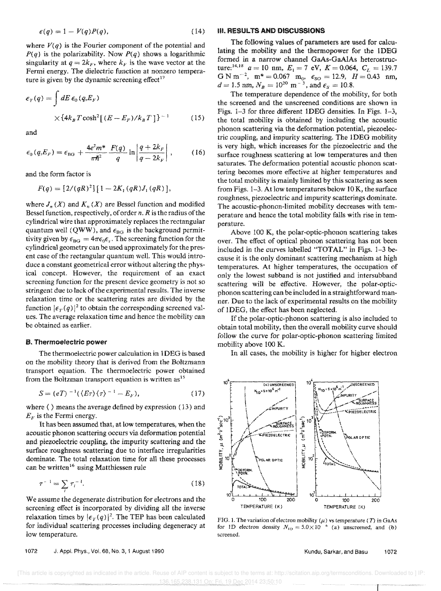$$
\epsilon(q) = 1 - V(q)P(q), \qquad (14)
$$

where  $V(q)$  is the Fourier component of the potential and  $P(q)$  is the polarizability. Now  $P(q)$  shows a logarithmic singularity at  $q = 2k_F$ , where  $k_F$  is the wave vector at the Fermi energy. The dielectric function at nonzero temperature is given by the dynamic screening effect<sup>17</sup>

$$
\epsilon_T(q) = \int dE \, \epsilon_0(q, E_F)
$$
  
 
$$
\times \{4k_B T \cosh^2[(E - E_F)/k_B T]\}^{-1}
$$
 (15)

and

$$
\epsilon_0(q,E_F) = \epsilon_{\rm BG} + \frac{4e^2m^*}{\pi\hbar^2} \frac{F(q)}{q} \ln \left| \frac{q+2k_F}{q-2k_F} \right|, \qquad (16)
$$

and the form factor is

$$
F(q) = [2/(qR)^2] [1 - 2K_1(qR)J_1(qR)],
$$

where  $J_n(X)$  and  $K_n(X)$  are Bessel function and modified Bessel function, respectively, of order *n. R* is the radius of the cylindrical wire that approximately replaces the rectangular quantum well (QWW), and  $\epsilon_{BG}$  is the background permittivity given by  $\epsilon_{\text{BG}} = 4\pi\epsilon_0\epsilon_s$ . The screening function for the cylindrical geometry can be used approximately for the present case of the rectangular quantum well. This would introduce a constant geometrical error without altering the physical concept. However, the requirement of an exact screening function for the present device geometry is not so stringent due to lack of the experimental results. The inverse relaxation time or the scattering rates are divided by the function  $|\epsilon_T(q)|^2$  to obtain the corresponding screened values. The average relaxation time and hence the mobility can be obtained as earlier.

## B. Thermoelectric power

The thermoelectric power calculation in IDEG is based on the mobility theory that is derived from the Boltzmann transport equation. The thermoelectric power obtained from the Boltzman transport equation is written as<sup>15</sup>

$$
S = (eT)^{-1}(\langle E\tau\rangle\langle\tau\rangle^{-1} - E_F),\tag{17}
$$

where  $\langle \rangle$  means the average defined by expression (13) and  $E<sub>F</sub>$  is the Fermi energy.

It has been assumed that, at low temperatures, when the acoustic phonon scattering occurs via deformation potential and piezoelectric coupling, the impurity scattering and the surface roughness scattering due to interface irregularities dominate. The total relaxation time for all these processes can be written<sup>16</sup> using Matthiessen rule

$$
\tau^{-1} = \sum_{i} \tau_i^{-1}.\tag{18}
$$

We assume the degenerate distribution for electrons and the screening effect is incorporated by dividing all the inverse relaxation times by  $|\epsilon_T(q)|^2$ . The TEP has been calculated for individual scattering processes including degeneracy at low temperature.

#### iii. RESULTS **AND DISCUSSIONS**

The following values of parameters are used for calculating the mobility and the thermopower for the IDEG formed in a narrow channel GaAs-GaAIAs heterostructure:<sup>14,18</sup>  $a = 10$  nm,  $E_1 = 7$  eV,  $K = 0.064$ ,  $C_L = 139.7$ G N m<sup>-2</sup>, m<sup>\*</sup> = 0.067 m<sub>0</sub>,  $\epsilon_{\text{SO}} = 12.9$ ,  $H = 0.43$  nm,  $d = 1.5$  nm,  $N_B = 10^{20}$  m<sup>-3</sup>, and  $\epsilon_s = 10.8$ .

The temperature dependence of the mobility, for both the screened and the unscreened conditions are shown in Figs. 1-3 for three different IDEG densities. In Figs. 1-3, the total mobility is obtained by including the acoustic phonon scattering via the deformation potential, piezoelectric coupling, and impurity scattering. The IDEG mobility is very high, which increases for the piezoelectric and the surface roughness scattering at low temperatures and then saturates. The deformation potential acoustic phonon scattering becomes more effective at higher temperatures and the total mobility is mainly limited by this scattering as seen from Figs. 1-3, At low temperatures below 10K, the surface roughness, piezoelectric and impurity scatterings dominate. The acoustic-phonon-Iimited mobility decreases with temperature and hence the total mobility falls with rise in temperature.

Above 100 K, the polar-optic-phonon scattering takes over. The effect of optical phonon scattering has not been included in the curves labelled ''TOTAL'' in Figs. 1-3 because it is the only dominant scattering mechanism at high temperatures. At higher temperatures, the occupation of only the lowest subband is not justified and intersubband scattering will be effective. However, the polar-opticphonon scattering can be included in a straightforward manner. Due to the lack of experimental results on the mobility of IDEG, the effect has been neglected.

If the polar-optic-phonon scattering is also included to obtain total mobility, then the overall mobility curve should follow the curve for polar-optie-phonon scattering limited mobility above 100 K.

In all cases, the mobility is higher for higher electron



FIG. 1. The variation of electron mobility  $(\mu)$  vs temperature (T) in GaAs for 1D electron density  $N_{1D} = 5.0 \times 10^{-6}$  (a) unscreened, and (b) screened.

1072 J. Appl. Phys., Vol. 68, No.3, 1 August 1990

Kundu, Sarkar, and Basu 1072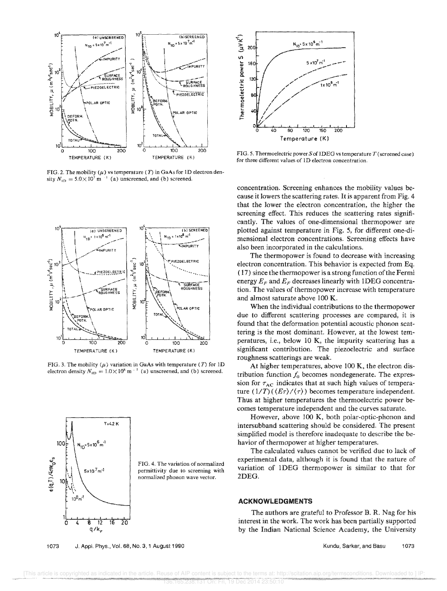

FIG. 2. The mobility  $(\mu)$  vs temperature (T) in GaAs for 1D electron density  $N_{\text{1D}} = 5.0 \times 10^7 \text{ m}^{-1}$  (a) unscreened, and (b) screened.



FIG. 3. The mobility  $(\mu)$  variation in GaAs with temperature (T) for 1D electron density  $N_{\text{1D}} = 1.0 \times 10^8 \text{ m}^{-1}$  (a) unscreened, and (b) screened.





FIG. 5. Thermoelectric power S of 1DEG vs temperature  $T$  (screened case) for three different values of 1D electron concentration.

concentration. Screening enhances the mobility values because it lowers the scattering rates. It is apparent from Fig. 4 that the lower the electron concentration, the higher the screening effect. This reduces the scattering rates significantly. The values of one-dimensional thermopower are plotted against temperature in Fig. 5, for different one-dimensional electron concentrations. Screening effects have also been incorporated in the calculations.

The thermopower is found to decrease with increasing electron concentration. This behavior is expected from Eq. (17) since the thermopower is a strong function of the Fermi energy  $E_F$  and  $E_F$  decreases linearly with 1DEG concentration. The values of thermopower increase with temperature and almost saturate above 100 K.

When the individual contributions to the thermopower due to different scattering processes are compared, it is found that the deformation potential acoustic phonon scattering is the most dominant. However, at the lowest temperatures, i.e., below 10 K, the impurity scattering has a significant contribution. The piezoelectric and surface roughness scatterings are weak.

At higher temperatures, above 100 K, the electron distribution function  $f_0$  becomes nondegenerate. The expression for  $\tau_{AC}$  indicates that at such high values of temperature  $(1/T)$  ( $\langle E\tau \rangle / \langle \tau \rangle$ ) becomes temperature independent. Thus at higher temperatures the thermoelectric power becomes temperature independent and the curves saturate.

However, above 100 K, both polar-optic-phonon and intersubband scattering should be considered. The present simplified model is therefore inadequate to describe the behavior of thermopower at higher temperatures.

The calculated values cannot be verified due to lack of experimental data, although it is found that the nature of variation of 1DEG thermopower is similar to that for 2DEG.

## **ACKNOWLEDGMENTS**

The authors are grateful to Professor B. R. Nag for his interest in the work. The work has been partially supported by the Indian National Science Academy, the University

J. Appl. Phys., Vol. 68, No. 3, 1 August 1990 1073

Kundu, Sarkar, and Basu 1073